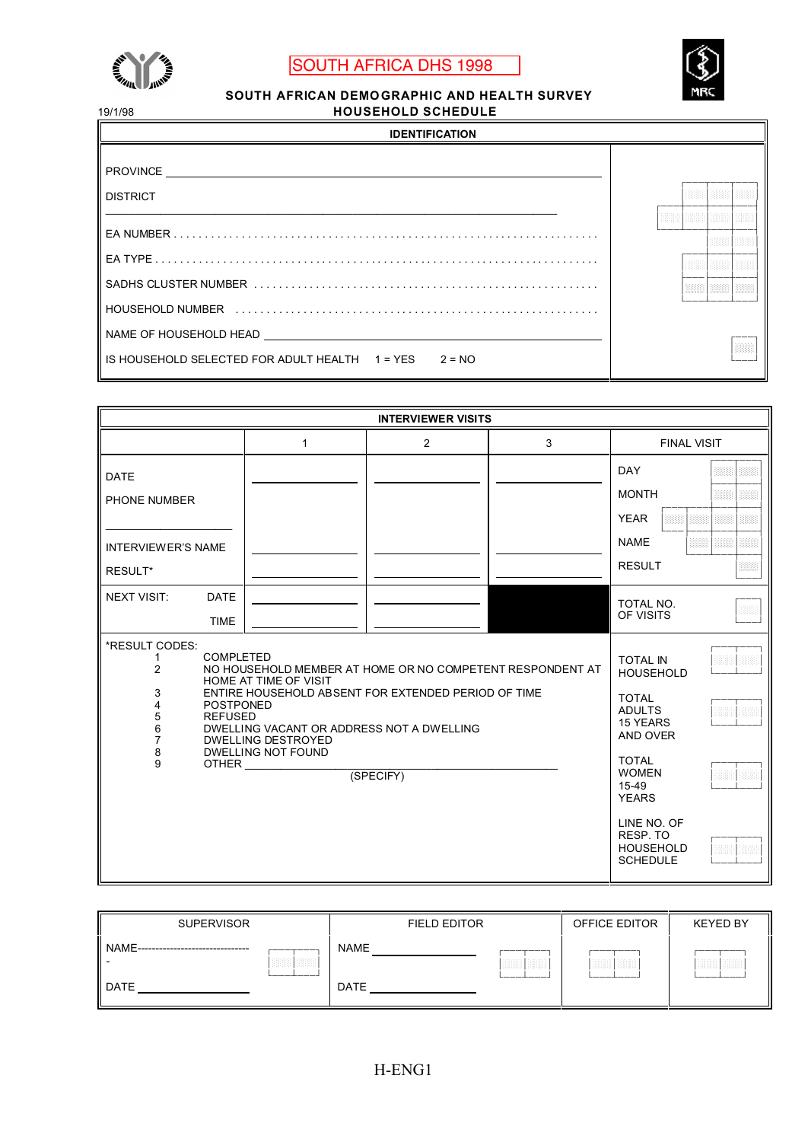

## SOUTH AFRICA DHS 1998



**SOUTH AFRICAN DEMOGRAPHIC AND HEALTH SURVEY**<br>HOUSEHOLD SCHEDULE 19/1/98 **HOUSEHOLD SCHEDULE**

| 1971790                            |  |  |            |            |  |  |  |  |  |  |
|------------------------------------|--|--|------------|------------|--|--|--|--|--|--|
| <b>IDENTIFICATION</b>              |  |  |            |            |  |  |  |  |  |  |
| <b>PROVINCE</b><br><b>DISTRICT</b> |  |  |            |            |  |  |  |  |  |  |
|                                    |  |  |            |            |  |  |  |  |  |  |
|                                    |  |  |            |            |  |  |  |  |  |  |
|                                    |  |  | <b>BBB</b> | <b>BBB</b> |  |  |  |  |  |  |
|                                    |  |  |            |            |  |  |  |  |  |  |
| NAME OF HOUSEHOLD HEAD             |  |  |            |            |  |  |  |  |  |  |
| $2 = NO$                           |  |  |            |            |  |  |  |  |  |  |

| <b>INTERVIEWER VISITS</b>                                                |                                                                                                                                                       |   |   |   |                                                                |      |  |  |  |  |
|--------------------------------------------------------------------------|-------------------------------------------------------------------------------------------------------------------------------------------------------|---|---|---|----------------------------------------------------------------|------|--|--|--|--|
|                                                                          |                                                                                                                                                       | 1 | 2 | 3 | <b>FINAL VISIT</b>                                             |      |  |  |  |  |
| <b>DATE</b><br>PHONE NUMBER                                              |                                                                                                                                                       |   |   |   | <b>DAY</b><br><b>MONTH</b><br><b>YEAR</b>                      | 3888 |  |  |  |  |
| <b>INTERVIEWER'S NAME</b><br>RESULT*                                     |                                                                                                                                                       |   |   |   | <b>NAME</b><br>題題<br><b>RESULT</b>                             |      |  |  |  |  |
| <b>NEXT VISIT:</b>                                                       | <b>DATE</b><br><b>TIME</b>                                                                                                                            |   |   |   | TOTAL NO.<br>OF VISITS                                         | ma   |  |  |  |  |
| *RESULT CODES:<br>1<br>2<br>3<br>4<br>5<br>6<br>$\overline{7}$<br>8<br>9 | <b>TOTAL IN</b><br><b>HOUSEHOLD</b><br><b>TOTAL</b><br><b>ADULTS</b><br>15 YEARS<br>AND OVER<br><b>TOTAL</b><br><b>WOMEN</b><br>15-49<br><b>YEARS</b> |   |   |   |                                                                |      |  |  |  |  |
|                                                                          |                                                                                                                                                       |   |   |   | LINE NO. OF<br>RESP. TO<br><b>HOUSEHOLD</b><br><b>SCHEDULE</b> |      |  |  |  |  |

| <b>SUPERVISOR</b>                |                                   | <b>FIELD EDITOR</b> |                  | OFFICE EDITOR | <b>KEYED BY</b>              |
|----------------------------------|-----------------------------------|---------------------|------------------|---------------|------------------------------|
| NAME-<br>----------------------- | __________<br><b>BEER!</b><br>322 | NAME                | <b>BEER BEER</b> | <b>BOOK</b>   | ________<br><b>BEER BEER</b> |
| <b>DATE</b>                      | ------                            | <b>DATE</b>         |                  |               |                              |